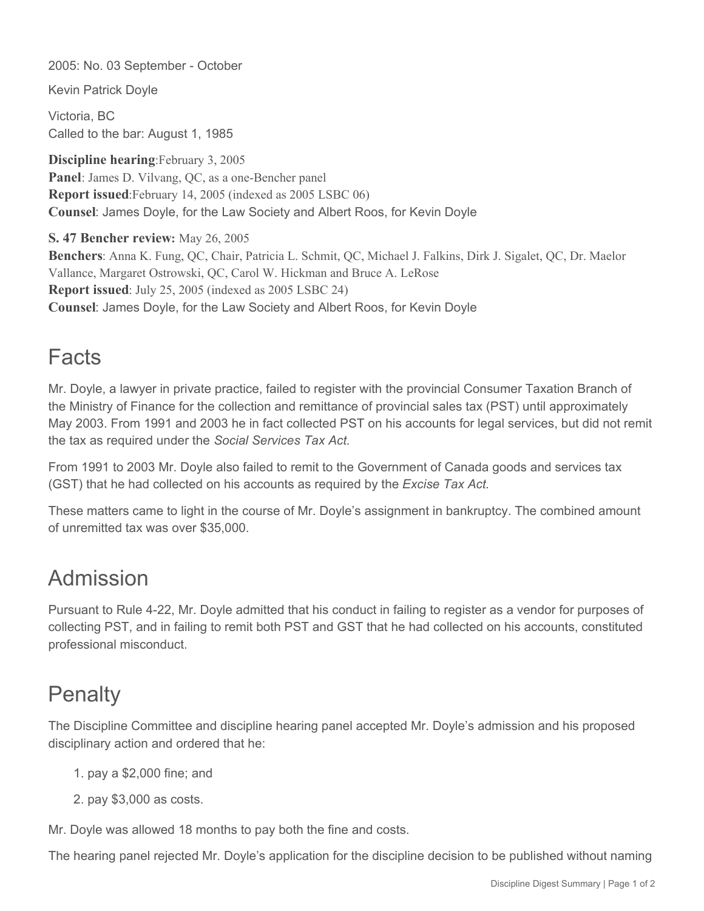2005: No. 03 September - October

Kevin Patrick Doyle

Victoria, BC Called to the bar: August 1, 1985

**Discipline hearing**:February 3, 2005 **Panel**: James D. Vilvang, QC, as a one-Bencher panel **Report issued**:February 14, 2005 (indexed as 2005 LSBC 06) **Counsel**: James Doyle, for the Law Society and Albert Roos, for Kevin Doyle

**S. 47 Bencher review:** May 26, 2005 **Benchers**: Anna K. Fung, QC, Chair, Patricia L. Schmit, QC, Michael J. Falkins, Dirk J. Sigalet, QC, Dr. Maelor Vallance, Margaret Ostrowski, QC, Carol W. Hickman and Bruce A. LeRose **Report issued**: July 25, 2005 (indexed as 2005 LSBC 24) **Counsel**: James Doyle, for the Law Society and Albert Roos, for Kevin Doyle

## Facts

Mr. Doyle, a lawyer in private practice, failed to register with the provincial Consumer Taxation Branch of the Ministry of Finance for the collection and remittance of provincial sales tax (PST) until approximately May 2003. From 1991 and 2003 he in fact collected PST on his accounts for legal services, but did not remit the tax as required under the *Social Services Tax Act.*

From 1991 to 2003 Mr. Doyle also failed to remit to the Government of Canada goods and services tax (GST) that he had collected on his accounts as required by the *Excise Tax Act.*

These matters came to light in the course of Mr. Doyle's assignment in bankruptcy. The combined amount of unremitted tax was over \$35,000.

## Admission

Pursuant to Rule 4-22, Mr. Doyle admitted that his conduct in failing to register as a vendor for purposes of collecting PST, and in failing to remit both PST and GST that he had collected on his accounts, constituted professional misconduct.

## **Penalty**

The Discipline Committee and discipline hearing panel accepted Mr. Doyle's admission and his proposed disciplinary action and ordered that he:

- 1. pay a \$2,000 fine; and
- 2. pay \$3,000 as costs.

Mr. Doyle was allowed 18 months to pay both the fine and costs.

The hearing panel rejected Mr. Doyle's application for the discipline decision to be published without naming